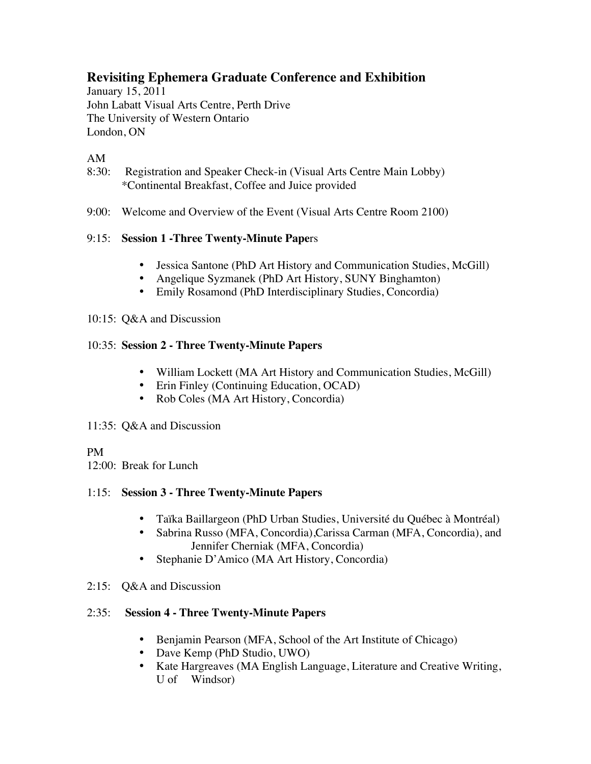# **Revisiting Ephemera Graduate Conference and Exhibition**

January 15, 2011 John Labatt Visual Arts Centre, Perth Drive The University of Western Ontario London, ON

## AM

- 8:30: Registration and Speaker Check-in (Visual Arts Centre Main Lobby) \*Continental Breakfast, Coffee and Juice provided
- 9:00: Welcome and Overview of the Event (Visual Arts Centre Room 2100)

### 9:15: **Session 1 -Three Twenty-Minute Pape**rs

- Jessica Santone (PhD Art History and Communication Studies, McGill)
- Angelique Syzmanek (PhD Art History, SUNY Binghamton)
- Emily Rosamond (PhD Interdisciplinary Studies, Concordia)

#### 10:15: Q&A and Discussion

### 10:35: **Session 2 - Three Twenty-Minute Papers**

- William Lockett (MA Art History and Communication Studies, McGill)
- Erin Finley (Continuing Education, OCAD)
- Rob Coles (MA Art History, Concordia)

#### 11:35: Q&A and Discussion

### PM

12:00: Break for Lunch

#### 1:15: **Session 3 - Three Twenty-Minute Papers**

- Taïka Baillargeon (PhD Urban Studies, Université du Québec à Montréal)
- Sabrina Russo (MFA, Concordia),Carissa Carman (MFA, Concordia), and Jennifer Cherniak (MFA, Concordia)
- Stephanie D'Amico (MA Art History, Concordia)
- 2:15: Q&A and Discussion

### 2:35: **Session 4 - Three Twenty-Minute Papers**

- Benjamin Pearson (MFA, School of the Art Institute of Chicago)
- Dave Kemp (PhD Studio, UWO)
- Kate Hargreaves (MA English Language, Literature and Creative Writing, U of Windsor)